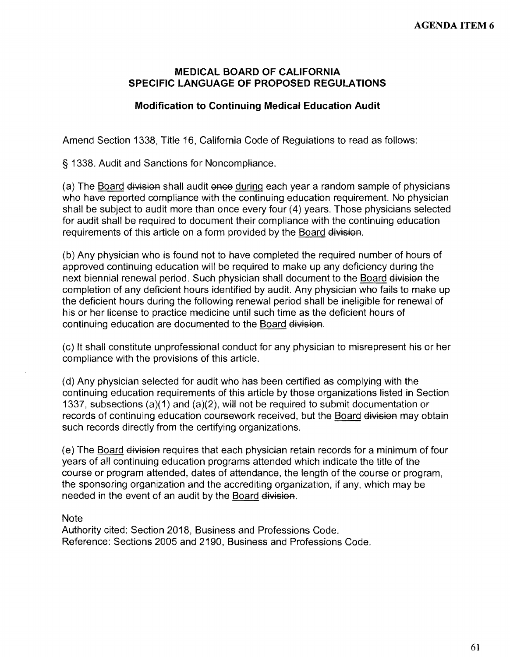#### **MEDICAL BOARD OF CALIFORNIA SPECIFIC LANGUAGE OF PROPOSED REGULATIONS**

### **Modification to Continuing Medical Education Audit**

Amend Section 1338, Title 16, California Code of Regulations to read as follows:

§ 1338. Audit and Sanctions for Noncompliance.

(a) The Board division shall audit once during each year a random sample of physicians who have reported compliance with the continuing education requirement. No physician shall be subject to audit more than once every four (4) years. Those physicians selected for audit shall be required to document their compliance with the continuing education requirements of this article on a form provided by the Board division.

(b) Any physician who is found not to have completed the required number of hours of approved continuing education will be required to make up any deficiency during the next biennial renewal period. Such physician shall document to the Board division the completion of any deficient hours identified by audit. Any physician who fails to make up the deficient hours during the following renewal period shall be ineligible for renewal of his or her license to practice medicine until such time as the deficient hours of continuing education are documented to the Board division.

(c) It shall constitute unprofessional conduct for any physician to misrepresent his or her compliance with the provisions of this article.

(d) Any physician selected for audit who has been certified as complying with the continuing education requirements of this article by those organizations listed in Section 1337, subsections (a)(1) and (a)(2), will not be required to submit documentation or records of continuing education coursework received, but the Board division may obtain such records directly from the certifying organizations.

(e) The Board division requires that each physician retain records for a minimum of four years of all continuing education programs attended which indicate the title of the course or program attended, dates of attendance, the length of the course or program, the sponsoring organization and the accrediting organization, if any, which may be needed in the event of an audit by the Board division.

**Note** 

Authority cited: Section 2018, Business and Professions Code. Reference: Sections 2005 and 2190, Business and Professions Code.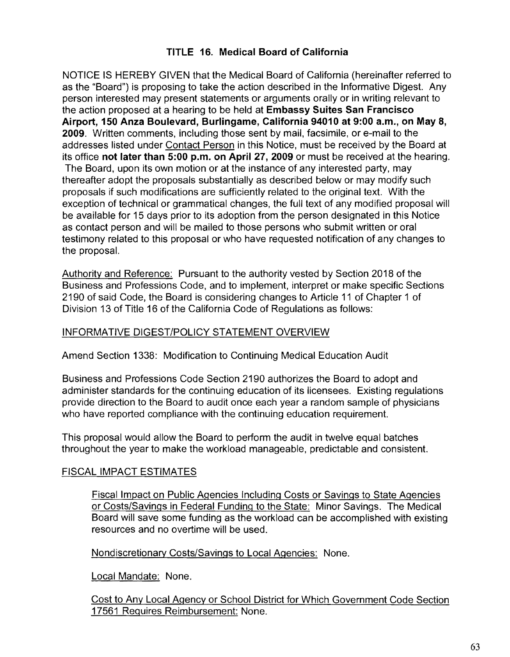# **TITLE 16. Medical Board of California**

NOTICE IS HEREBY GIVEN that the Medical Board of California (hereinafter referred to as the "Board") is proposing to take the action described in the Informative Digest. Any person interested may present statements or arguments orally or in writing relevant to the action proposed at a hearing to be held at **Embassy Suites San Francisco Airport, 150 Anza Boulevard, Burlingame, California 94010 at 9:00 a.m., on May 8, 2009.** Written comments, including those sent by mail, facsimile, or e-mail to the addresses listed under Contact Person in this Notice, must be received by the Board at its office **not later than 5:00 p.m. on April 27, 2009** or must be received at the hearing. The Board, upon its own motion or at the instance of any interested party, may thereafter adopt the proposals substantially as described below or may modify such proposals if such modifications are sufficiently related to the original text. With the exception of technical or grammatical changes, the full text of any modified proposal will be available for 15 days prior to its adoption from the person designated in this Notice as contact person and will be mailed to those persons who submit written or oral testimony related to this proposal or who have requested notification of any changes to the proposal.

Authority and Reference: Pursuant to the authority vested by Section 2018 of the Business and Professions Code, and to implement, interpret or make specific Sections 2190 of said Code, the Board is considering changes to Article 11 of Chapter 1 of Division 13 of Title 16 of the California Code of Regulations as follows:

# INFORMATIVE DIGEST/POLICY STATEMENT OVERVIEW

Amend Section 1338: Modification to Continuing Medical Education Audit

Business and Professions Code Section 2190 authorizes the Board to adopt and administer standards for the continuing education of its licensees. Existing regulations provide direction to the Board to audit once each year a random sample of physicians who have reported compliance with the continuing education requirement.

This proposal would allow the Board to perform the audit in twelve equal batches throughout the year to make the workload manageable, predictable and consistent.

## FISCAL IMPACT ESTIMATES

Fiscal Impact on Public Agencies Including Costs or Savings to State Agencies or Costs/Savings in Federal Funding to the State: Minor Savings. The Medical Board will save some funding as the workload can be accomplished with existing resources and no overtime will be used.

Nondiscretionary Costs/Savings to Local Agencies: None.

Local Mandate: None.

Cost to Any Local Agency or School District for Which Government Code Section 17561 Requires Reimbursement: None.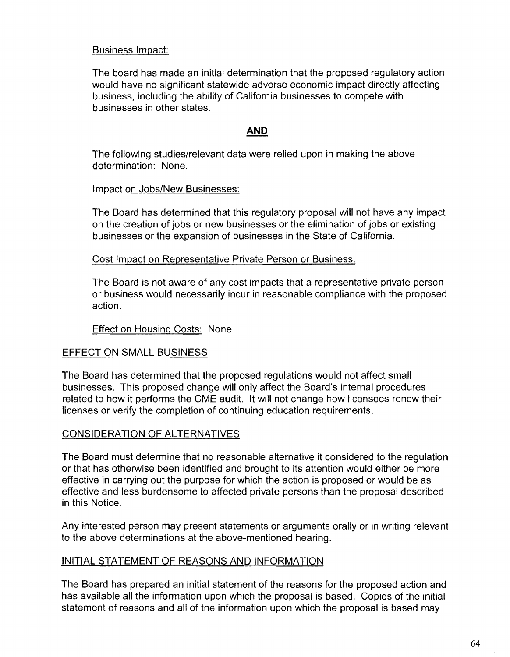## Business Impact:

The board has made an initial determination that the proposed regulatory action would have no significant statewide adverse economic impact directly affecting business, including the ability of California businesses to compete with businesses in other states.

## **AND**

The following studies/relevant data were relied upon in making the above determination: None.

#### Impact on Jobs/New Businesses:

The Board has determined that this regulatory proposal will not have any impact on the creation of jobs or new businesses or the elimination of jobs or existing businesses or the expansion of businesses in the State of California.

Cost Impact on Representative Private Person or Business:

The Board is not aware of any cost impacts that a representative private person or business would necessarily incur in reasonable compliance with the proposed action.

Effect on Housing Costs: None

# EFFECT ON SMALL BUSINESS

The Board has determined that the proposed regulations would not affect small businesses. This proposed change will only affect the Board's internal procedures related to how it performs the CME audit. It will not change how licensees renew their licenses or verify the completion of continuing education requirements.

## CONSIDERATION OF ALTERNATIVES

The Board must determine that no reasonable alternative it considered to the regulation or that has otherwise been identified and brought to its attention would either be more effective in carrying out the purpose for which the action is proposed or would be as effective and less burdensome to affected private persons than the proposal described in this Notice.

Any interested person may present statements or arguments orally or in writing relevant to the above determinations at the above-mentioned hearing.

## INITIAL STATEMENT OF REASONS AND INFORMATION

The Board has prepared an initial statement of the reasons for the proposed action and has available all the information upon which the proposal is based. Copies of the initial statement of reasons and all of the information upon which the proposal is based may